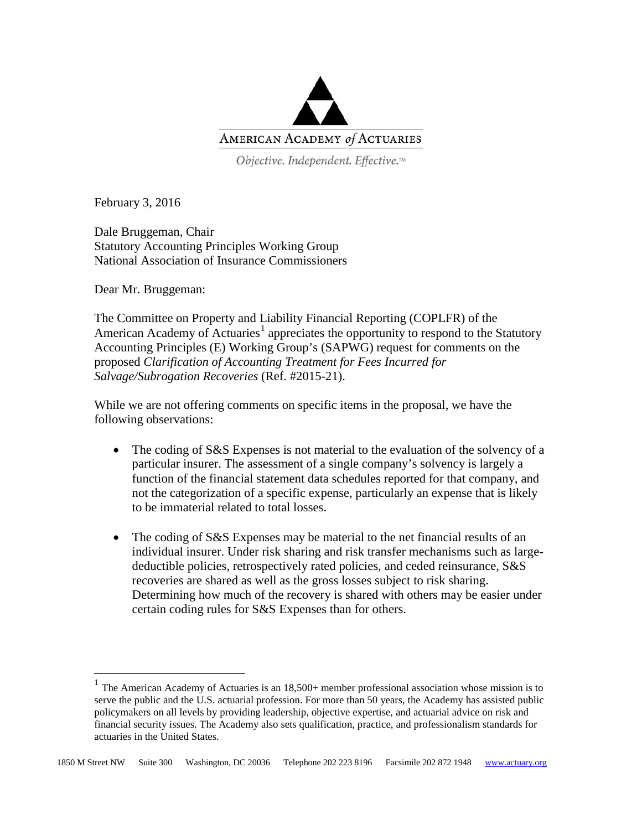

Objective. Independent. Effective.™

February 3, 2016

Dale Bruggeman, Chair Statutory Accounting Principles Working Group National Association of Insurance Commissioners

Dear Mr. Bruggeman:

The Committee on Property and Liability Financial Reporting (COPLFR) of the American Academy of Actuaries<sup>[1](#page-0-0)</sup> appreciates the opportunity to respond to the Statutory Accounting Principles (E) Working Group's (SAPWG) request for comments on the proposed *Clarification of Accounting Treatment for Fees Incurred for Salvage/Subrogation Recoveries* (Ref. #2015-21).

While we are not offering comments on specific items in the proposal, we have the following observations:

- The coding of S&S Expenses is not material to the evaluation of the solvency of a particular insurer. The assessment of a single company's solvency is largely a function of the financial statement data schedules reported for that company, and not the categorization of a specific expense, particularly an expense that is likely to be immaterial related to total losses.
- The coding of S&S Expenses may be material to the net financial results of an individual insurer. Under risk sharing and risk transfer mechanisms such as largedeductible policies, retrospectively rated policies, and ceded reinsurance, S&S recoveries are shared as well as the gross losses subject to risk sharing. Determining how much of the recovery is shared with others may be easier under certain coding rules for S&S Expenses than for others.

<span id="page-0-0"></span> $1$  The American Academy of Actuaries is an  $18,500+$  member professional association whose mission is to serve the public and the U.S. actuarial profession. For more than 50 years, the Academy has assisted public policymakers on all levels by providing leadership, objective expertise, and actuarial advice on risk and financial security issues. The Academy also sets qualification, practice, and professionalism standards for actuaries in the United States.